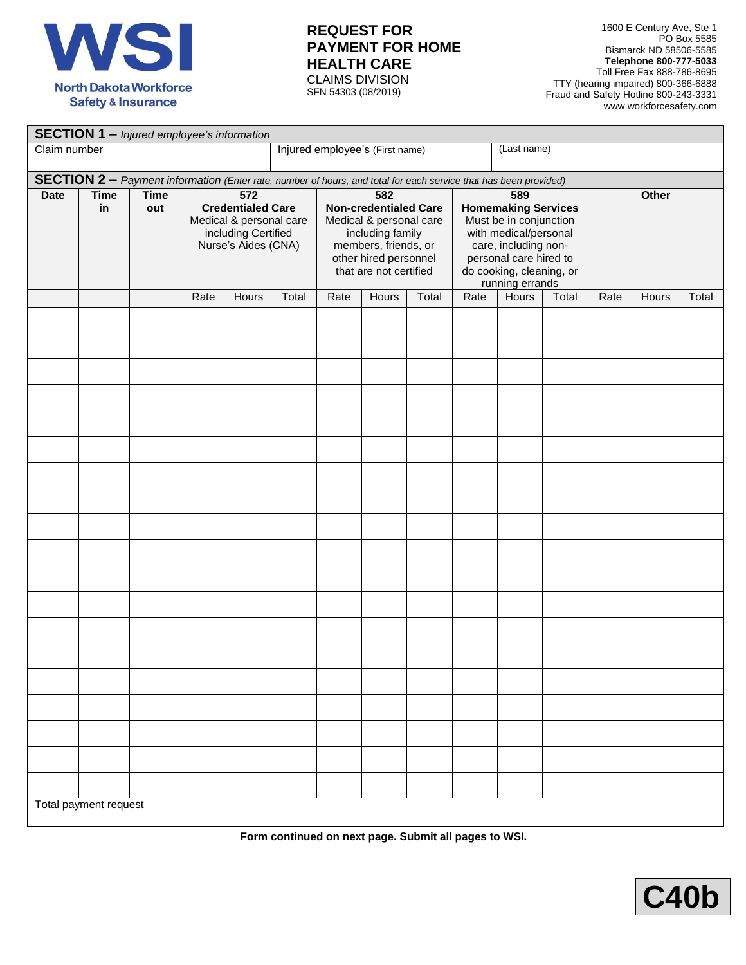

## **REQUEST FOR PAYMENT FOR HOME HEALTH CARE** CLAIMS DIVISION

SFN 54303 (08/2019)

1600 E Century Ave, Ste 1 PO Box 5585 Bismarck ND 58506-5585 **Telephone 800-777-5033** Toll Free Fax 888-786-8695 TTY (hearing impaired) 800-366-6888 Fraud and Safety Hotline 800-243-3331 www.workforcesafety.com

| <b>SECTION 1 - Injured employee's information</b> |                                                                                                                  |                    |                                                                                                                       |              |             |                                                                                                                                                               |       |       |                                                                                                                                                                                       |              |       |       |       |       |
|---------------------------------------------------|------------------------------------------------------------------------------------------------------------------|--------------------|-----------------------------------------------------------------------------------------------------------------------|--------------|-------------|---------------------------------------------------------------------------------------------------------------------------------------------------------------|-------|-------|---------------------------------------------------------------------------------------------------------------------------------------------------------------------------------------|--------------|-------|-------|-------|-------|
| Claim number                                      | Injured employee's (First name)                                                                                  |                    |                                                                                                                       |              | (Last name) |                                                                                                                                                               |       |       |                                                                                                                                                                                       |              |       |       |       |       |
|                                                   | SECTION 2 - Payment information (Enter rate, number of hours, and total for each service that has been provided) |                    |                                                                                                                       |              |             |                                                                                                                                                               |       |       |                                                                                                                                                                                       |              |       |       |       |       |
| <b>Date</b>                                       | <b>Time</b><br>in                                                                                                | <b>Time</b><br>out | $\overline{572}$<br><b>Credentialed Care</b><br>Medical & personal care<br>including Certified<br>Nurse's Aides (CNA) |              |             | 582<br><b>Non-credentialed Care</b><br>Medical & personal care<br>including family<br>members, friends, or<br>other hired personnel<br>that are not certified |       |       | 589<br><b>Homemaking Services</b><br>Must be in conjunction<br>with medical/personal<br>care, including non-<br>personal care hired to<br>do cooking, cleaning, or<br>running errands |              |       | Other |       |       |
|                                                   |                                                                                                                  |                    | Rate                                                                                                                  | <b>Hours</b> | Total       | Rate                                                                                                                                                          | Hours | Total | Rate                                                                                                                                                                                  | <b>Hours</b> | Total | Rate  | Hours | Total |
|                                                   |                                                                                                                  |                    |                                                                                                                       |              |             |                                                                                                                                                               |       |       |                                                                                                                                                                                       |              |       |       |       |       |
|                                                   |                                                                                                                  |                    |                                                                                                                       |              |             |                                                                                                                                                               |       |       |                                                                                                                                                                                       |              |       |       |       |       |
|                                                   |                                                                                                                  |                    |                                                                                                                       |              |             |                                                                                                                                                               |       |       |                                                                                                                                                                                       |              |       |       |       |       |
|                                                   |                                                                                                                  |                    |                                                                                                                       |              |             |                                                                                                                                                               |       |       |                                                                                                                                                                                       |              |       |       |       |       |
|                                                   |                                                                                                                  |                    |                                                                                                                       |              |             |                                                                                                                                                               |       |       |                                                                                                                                                                                       |              |       |       |       |       |
|                                                   |                                                                                                                  |                    |                                                                                                                       |              |             |                                                                                                                                                               |       |       |                                                                                                                                                                                       |              |       |       |       |       |
|                                                   |                                                                                                                  |                    |                                                                                                                       |              |             |                                                                                                                                                               |       |       |                                                                                                                                                                                       |              |       |       |       |       |
|                                                   |                                                                                                                  |                    |                                                                                                                       |              |             |                                                                                                                                                               |       |       |                                                                                                                                                                                       |              |       |       |       |       |
|                                                   |                                                                                                                  |                    |                                                                                                                       |              |             |                                                                                                                                                               |       |       |                                                                                                                                                                                       |              |       |       |       |       |
|                                                   | Total payment request                                                                                            |                    |                                                                                                                       |              |             |                                                                                                                                                               |       |       |                                                                                                                                                                                       |              |       |       |       |       |

**Form continued on next page. Submit all pages to WSI.**